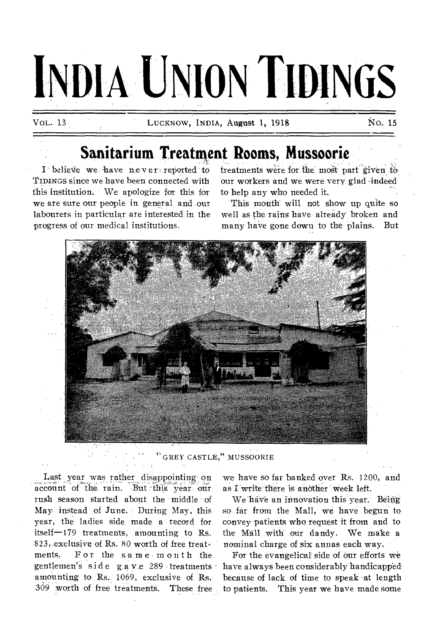# **INDIA UNION TIDINGS**

VOL. 13 LUCKNOW, INDIA, August 1, 1918 NO. 15

## **Sanitarium Treatment Rooms, Mussoorie**

I believe we have never; reported to TIDINGS since we have been connected with this institution. We apologize for this for we are sure our people in general and our labourers in particular are interested in the progress of our medical institutions.

treatments were for the most part given to our workers and we were very glad -indeed to help any who needed it.

This month will not show up quite so well as the rains have already broken and many haVe gone down to the plains. But



"GREY CASTLE," MUSSOORIE

Last year was rather disappointing-on account of the rain. But this year our rush season started about the middle of May instead of June. During May, this year, the ladies side made a record for itself-179 treatments, amounting to Rs.  $823$ , exclusive of Rs.  $80$  worth of free treatments. For the same- month the gentlemen's side gave 289 treatments amounting to Rs. 1069, exclusive of Rs. 309 worth of free treatments. These free

we have so far banked over Rs. 1200, and as I write there is another week left.

We have an innovation this year. Being so far from the Mall, we have begun to convey patients who, request it from and to the Mall with our dandy. We make a nominal charge of six annas each way.

For the evangelical side of our efforts we have always been considerably handicapped because of lack of time to speak at length to patients. This year we have made some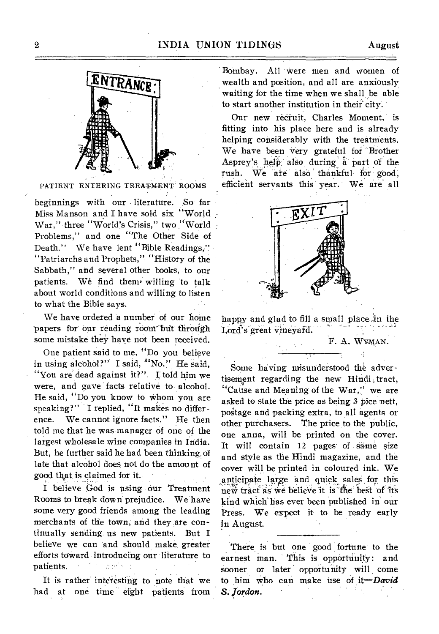

PATIENT ENTERING TREATMENT ROOMS

beginnings with our literature. So far Miss Manson and I have sold six "World War," three "World's Crisis," two "World Problems," and one "The Other Side of Death." We have lent "Bible Readings," "Patriarchs and Prophets," "History of the Sabbath," and several other books, to our patients. We find them' willing to talk about world conditions and willing to listen to what the Bible says.

We have ordered a number of our home papers for our reading room but through some mistake they have not been received.

One patient said to me, "Do you believe in using alcohol?" I said, "No." He said, "You are dead against it?". I told him we were, and gave facts relative to alcohol. He said, "Do you know to whom you are speaking?" I replied, "It makes no difference. We cannot ignore facts." He then told me that he was manager of one of the largest wholesale wine companies in India. But, he further said he had been thinking. of late that alcohol does not do the amount of good that is claimed for it. .

I believe God is using our Treatment Rooms to break down prejudice. We have some very good friends among the leading merchants of the town, and they are continually sending us new patients. But I believe we can and should make, greater efforts toward : introducing our literature to i ne ganta s patients.

It is rather interesting to note that we had at one time eight patients from Bombay. All were men and women of wealth and position, and all are anxiously waiting for the time when we shall be able to start another institution in their city.

Our new recruit, Charles Moment, is fitting into his place here and is already helping considerably with the treatments. We have been very grateful for Brother Asprey's help also during a part of the rush. We are also thankful for good, efficient servants this' year.' We are' all



happy and glad to fill a small place in the Lord's great vineyard.

F. A. WYMAN.

Some having misunderstood the advertisement regarding the new Hindi, tract, "Cause and Meaning of the War," we are asked to state the price as being 3 pice nett, postage and packing extra, to all agents or other purchasers. The price to the public, one anna, will be printed on the cover. It will contain 12 pages of game size and style as the Hindi magazine, and the cover will be printed in coloured, ink. We anticipate large and quick sales for this new tract as we believe it is the best of its kind which has ever been published in our Press. We expect it to be ready early in August.

There is but one good fortune to the earnest man. This is opportunity: and sooner or later opportunity will come to him who can make use of *it—David S. Jordon.*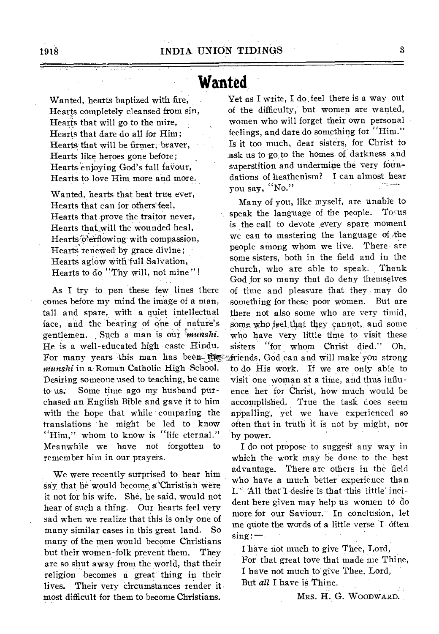## **Wanted**

Wanted, hearts baptized with fire, Hearts completely cleansed from sin, Hearts that will go to the mire, Hearts that dare do all for Him; Hearts that will be firmer, braver, Hearts like, heroes gone before; Hearts enjoying God's full faVour, Hearts to love Him more and more.

Wanted, hearts that beat true ever, Hearts that can for others feel, Hearts that prove the traitor never, Hearts that will the wounded heal, Hearts o'erflowing with compassion, Hearts renewed by grace divine; Hearts aglow with full Salvation, Hearts to do "Thy will, not mine"!

As I try to pen these few lines there comes before my mind the image of a man, tall and spare, with a quiet intellectual face, and the bearing of one of nature's gentlemen. Such a man is our *'fnunshi.*  He is a well-educated high caste Hindu. For many years this man has been they *munshi* in a Roman Catholic High School. Desiring someone used to teaching, he came to us. Some time ago my husband purchased an English Bible and gave it to him with the hope that while comparing the translations he might be led to know "Him," whom to know is "life eternal." Meanwhile we have not forgotten to remember him in our prayers.

We were recently surprised to hear him say that he would become a Christian were it not for his wife. She, he said, would not hear of such a thing. Our hearts feel very sad when we realize that this is only one of many similar cases in this great land. So many of the men would become Christians but their women-folk prevent them. They are so shut away from the world, that their religion becomes a great thing in their lives. Their very circumstances render it most difficult for them to become Christians.

Yet as I write, I do feel there is a way out of the difficulty, but women are wanted, women who will forget their own personal feelings, and dare do something for "Him." Is it too much, dear sisters, for Christ to ask us to go to the homes of darkness and superstition and undermine the very foundations of heathenism? I can almost hear you say, "No."

Many of you, like myself, are unable to speak the language of the people. To us is the call to devote every spare moment we can to mastering the language of the people among whom we live. There- are some sisters, both in the field and in the church, who are able to speak. Thank God for so many that do deny themselves of time and pleasure that they may do something for these poor women. But are there not also some who are very timid, some who feel that they cannot, and some who have very little time to visit these sisters "for whom Christ died." Oh, 4riends, God can and will make you strong to do His work. If we are only able to visit one woman at a time, and thus influence her for Christ, how much would be accomplished. True the task does seem appalling, yet we have experienced so often that in truth it is not by might, nor by power.

I do not propose to suggest any way in which the work may be done to the best advantage. There are others in the field who have a much better experience than I.  $A11$  that I desire is that this little incident here given may help us women to do more for our SaViour. In conclusion, let me quote the words of a little verse I often  $sing:$ 

I have riot much to give Thee, Lord, For that great love that made me Thine, I have not much to give Thee, Lord, But *all* I have is Thine.

MRS. H. G. WOODWARD.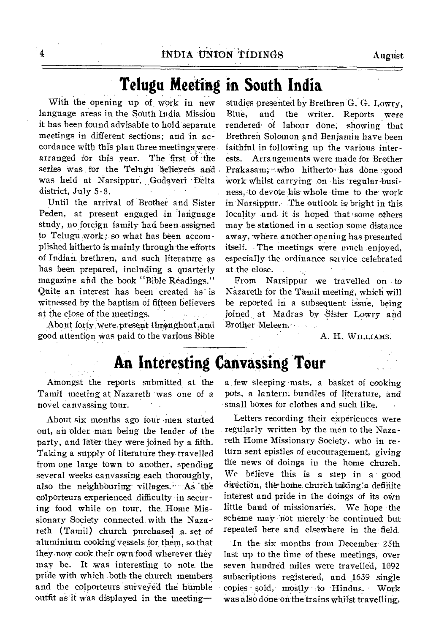With the opening up of work in new language areas in the South India Mission it has, been found advisable to hold separate meetings in different sections; and in accordance with this plan three meetings were arranged for this year. The first of the series was for the Telugu believers and was held at Narsippur, Godaveri Delta district, July 5-8.

Until the arrival of Brother and Sister Peden, at present engaged in language study, no foreign family had been assigned to Telugu work; so what has been accomplished hitherto is mainly through the efforts of Indian brethren, and such literature as has been prepared, including a quarterly magazine and the book "Bible Readings." Quite an interest has been created as is witnessed by the baptism of fifteen believers at the close of the meetings.

About forty were, present throughout and good attention Was paid to the various Bible

studies presented by Brethren G. G. Lowry, Blue, and the writer. Reports were rendered of labour done; showing that Brethren Solomon and Benjamin have been faithful in following up the various interests. Arrangements were made for Brother Prakasam;" who hitherto has done good work whilst carrying on his regular-business, -to devote his' whole •time to the-work in Narsippur. The outlook is bright in this locality and it is hoped that some others may be stationed in a section some distance away, where another opening has presented itself. The meetings were much enjoyed, especially the ordinance service celebrated at the close. . أعارب

From Narsippur we travelled on to Nazareth for the Tamil meeting, which will be reported in a subsequent issue, being joined at Madras by Sister Lowry and Brother Meleen-.

A. H. WILLIAMS.

## **An Interesting Canvassing Tour**

Atnongst the reports submitted at the Tamil meeting at Nazareth was one of a novel canvassing tour.

About six months ago four men started out, an older man being the leader of the party, and later they were joined by a fifth. Taking a supply of literature they travelled from one large town to another, spending several weeks canvassing.each thoroughly, also the neighbouring villages. As the colporteurs experienced difficulty in securing food while on tour, the Home Missionary Society connected, with the Naza- reth (Tamil) church purchased a. set of aluminium cooking' vessels for them, so that they now cook their own food wherever they may be. It was interesting to note the pride with which both the church members and the colporteurs surveyed the humble outfit as it was displayed in the meeting-

a , few sleeping mats, a basket of cooking pots; a lantern; bundles of literature, and small boxes for clothes and such like.

Letters recording their experiences were regularly written by the men to the Nazareth Home Missionary Society, who in return sent epistles of encouragement, giving the news of doings in the home church. We believe this is a step in a good direction, the home church taking a definite interest and, pride in the doings of its own little band of missionaries. We hope the scheme may not merely be continued but repeated here and elsewhere in the field.

'In the six months from December 25th last up to the time of these meetings, over seven hundred miles were travelled, 1092 subscriptions registered, and 1639 single copies sold, mostly to Hindus. Work was also done on the trains whilst travelling.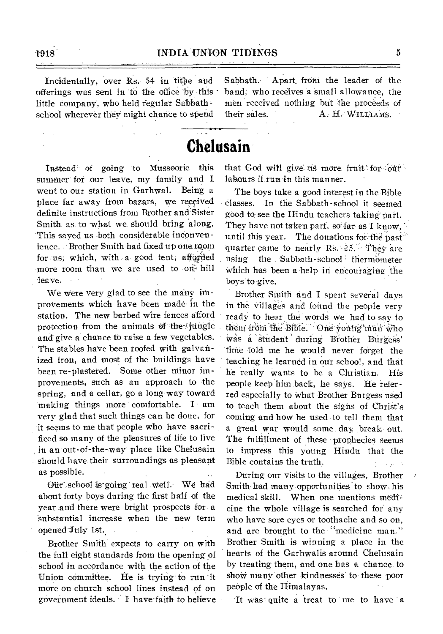offerings was sent in to the office by this  $\cdot$  band; who receives a small allowance, the little company, who held regular Sabbath - men received nothing but the proceeds of school wherever they might chance to spend their sales.  $A \cdot H \cdot \text{Willifams}$ .

Incidentally, over Rs. 54 in tithe and Sabbath. Apart from the leader of the

## **Chelusain**

Instead'. of going to Mussoorie this summer' for our, leave, my family and I went to our station in Garhwal. Being a place far away from bazars, we received definite instructions from Brother and Sister Smith as. to what we should bring along. This saved us both considerable inconvenience. Brother Smith had fixed up one room for us; which, with a good tent; afforded more room than we are used to only hill leave.

We Were very glad to see the many improvements Which have been made- in the station. The new barbed wire fences afford protection from the animals of the fungle and give a chance to raise a few vegetables. The stables have been roofed with galvanized iron, and most of the buildings have been re-plastered. Some other niinor improvements, such as an approach to the spring, and a cellar, go a long way toward making things more comfortable. I am very glad that such things can be done, for 'it seems to me that people who have sacrificed so many of the pleasures of life to live in an-out-of-the--way place like Chelusain should have their surroundings as pleasant as possible.

Our school is going real well. We had about forty boys during the first half of the year and there were bright prospects for . a substantial increase when the new term opened July 1st.

Brother Smith expects to carry on with the full eight standards from the opening of school in accordance with the action of the Union committee. He is trying' to run 'it more on church school lines instead of on government ideals. I have- faith to believe that God will give us more fruit for  $\delta t$ + labours if run in this manner.

The boys take a good interest in the Bible - classes. -In -the Sabbath-school it seemed good to see the Hindu teachers taking part. They have not taken part, so far as I know. until this year. The donations for the past quarter came to nearly  $Rs. -25$ . They are using the Sabbath-school thermometer which has been a help in encouraging the boys to give.

Brother Smith and I spent several days in the villages and found the people very ready to hear the words we had to say to them from the Bible. One young man who was a student during Brother Burgess' time told me he would never forget the teaching he learned in our school, and that he really wants to be a Christian. His people keep him back, he says. He referred especially to what Brother Burgess used to teach them about the sighs of Christ's coming and how he used to tell them that a great war would some. day ,break- out, The fulfillment of these prophecies seems to impress this young Hindu that the Bible contains the truth.

During our visits to the villages, Brother Smith-had many opportunities to show his medical skill. When one mentions medicine the whole village is searched for any who have sore eyes or toothache and so on, and are brought to the "medicine man." Brother Smith is winning a place in the hearts of the Garhwalis around Chelusain by treating them, and one has a chance to show many other kindnesses to these poor people of the Himalayas.

It was quite a treat to me to have a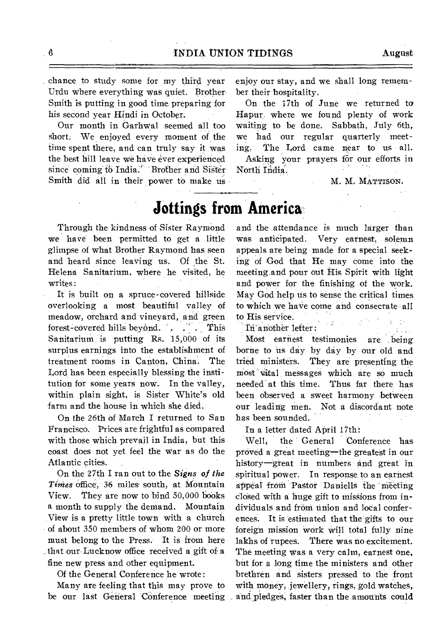chance to study some for my third year Urdu where everything was quiet. Brother. Smith is putting in good time preparing for his second year Hindi in October.

Our month in Garhwal seemed all too short: We enjoyed every moment of the time spent there, and can truly say it was the best hill leave we have ever experienced since coming to India.<sup>"</sup> Brother and Sister Smith did all in their power to make us enjoy our stay, and we shall long remember their hospitality.

On the 17th of June we returned to Hapur, where we found plenty of work waiting to be done. Sabbath, July 6th, we had our regular quarterly meeting. The Lord came near to us all. Asking your prayers for our efforts in

M. M. MATTISON.

## **Jottings from America**

North India.

Through the kindness of Sister Raymond we have been permitted to get a little glimpse of what Brother Raymond has seen and heard since leaving us. Of the St Helena Sanitarium, where he visited, he writes:

It is built on a spruce-covered hillside overlooking a most beautiful valley of meadow, orchard and vineyard, and green forest-covered hills beyond. . . . This Sanitarium is putting Rs. 15,000 of its surplus earnings into the establishment of treatment rooms in Canton, China. The Lord has been especially blessing the institution for some years now. In the valley, within plain sight, is Sister White's old farm and the house in which she died.

On the 26th of March I returned to San Francisco. Prices are frightful as compared with those which prevail in India, but this coast does not yet feel the war as do the Atlantic cities.

On the 27th I ran out to the *Signs of the Tinies* Office, 36 miles south, at Mountain View. They are now to bind 50,000 books a month to supply the demand. Mountain View is a pretty little town with a church of about 350 members of whom 200 or more must belong to the Press. It is from here . that our Lucknow office received a gift of a fine new press and other equipment.

Of the General Conference he wrote:

Many are feeling that this may prove to be our last General COnference meeting

and the attendance is much larger than was anticipated. Very earnest, solemn appeals are being made for a special seeking of God that He may come into the meeting.and pour out His Spirit with light and power for the finishing of the work. May God help us to sense the critical times to which we haVe come and consecrate all to His service.

Iri-another letter:

Most earnest testimonies are . being borne to us day by day by our old and tried ministers. They are presenting the most vital messages which are so much needed' at this time. Thus far there has been observed a sweet harmony between our leading men. Not a discordant note has been sounded.

In a letter dated April 17th:

Well, the General Conference has proved a great meeting—the greatest in our history-great in numbers and great in spiritual power. In response to an earnest appeal from Pastor Daniells the meeting elosed with a huge gift to missions from individuals and from union and local conferences. It is estimated that the'gifts to our foreign mission work will total fully nine lakhs of rupees. There was no excitement. The meeting was a very calm, earnest one, but for a long time the ministers and other brethren and sisters pressed to the front with money, jewellery, rings, gold watches, and pledges, faster than the amounts could

 $\mathcal{L}_{\text{max}}$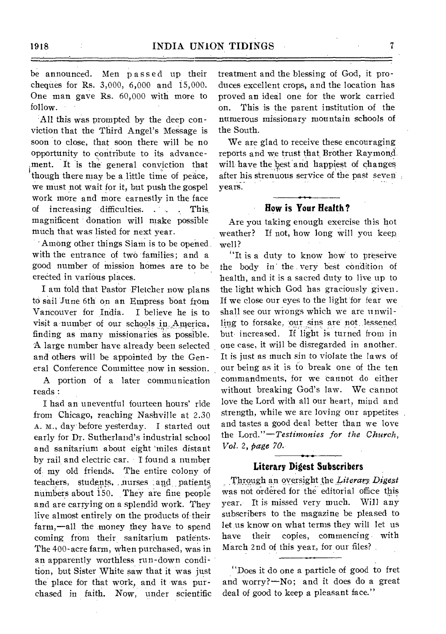be announced. Men passed up their cheques for Rs. 3,000, 6,000 and 15,000. One man gave Rs. 60,000 with more to follow.

All this was prompted by the deep conviction that the Third Angel's Message is soon to close, that soon there will be no opportunity to contribute to its advancement. It is the general conviction that though there may be a little time of peace, we must not wait for it, but push the gospel work more and more earnestly in the face of increasing difficulties. . . . This magnificent ' donation will make possible much that was listed for next year.

'Among other things Siam is to be opened with the entrance of two families; and a good number of mission homes are to be erected in various places.

I am told that Pastor Fletcher now plans to sail June 6th on an Empress boat from Vancouver for India. I believe he is to visit a number of our schools in America, finding as many missionaries as possible. A large number have already been selected and others will be appointed by the General Conference Committee now in session.

A portion of a later communication reads :

I had an uneventful fourteen hours' ride from Chicago, reaching Nashville at 2.30 A. M., day before yesterday. I started out early for Dr. Sutherland's industrial school and sanitarium about eight 'miles distant by rail and electric car. I found a number of, my old friends. The entire colony of teachers, students, nurses and patients nuinbers about 150. They are fine people and are carrying on a splendid work. They live almost entirely on the products of their farm,—all the money they have to spend coming from their sanitarium patients. The 400-acre farm, when purchased, was in an apparently worthless run-down condition, but Sister White saw that it was just the place for that work, and it was purchased in faith. Now, under scientific

treatment and the blessing of God, it produces excellent crops, and the location has proved an ideal one for the work carried on. This is the parent institution of the numerous missionary mountain schools of the South.

We are glad to receive these encouraging reports and we trust that, Brother Raymond will have the best and happiest of changes after his strenuous service of the past seven years.

#### **How is Your Health?**

Are you taking enough exercise this hot weather? If not, how long will you keep, well?

"It is a duty to know how to preserve the body in the very best condition of health, and it is a sacred duty to live up to the light which God has graciously given. If we close our eyes to the light for fear we shall see our wrongs which we are unwilling to forsake, our sins are not lessened but increased. If light is turned from in one case, it will be disregarded in another. It is just as much sin to violate the laws of our being as it is to break one of the ten commandments, for we 'cannot do either without breaking God's law. We cannot love the Lord with all our heart, mind and strength, while we are loving our appetites and tastes a good deal better than we love the *Lord."—Testimonies for the Church, Vol.* 2, *page 70.* 

### **Literary Digest Subscribers**

Through an oversight the *Literary* Digest was not ordered for the editorial office this year. It is missed very much. Will any subscribers to the magazine be pleased to let us know on what terms they will let us have their copies, commencing with March 2nd of this year, for our files?

"Does it do one a particle of good to fret and worry?—No; and it does do a great deal of good to keep a pleasant face."